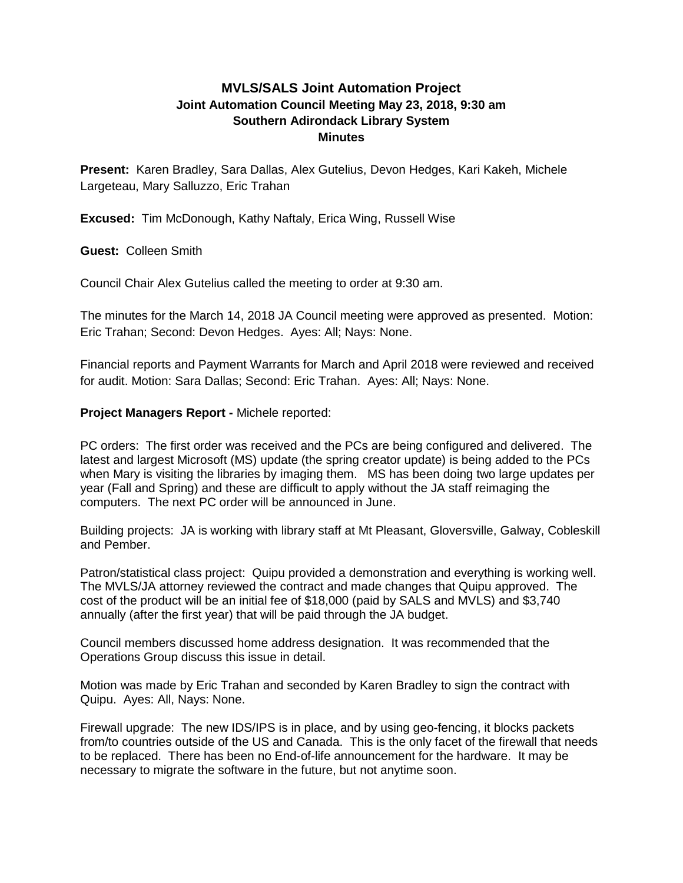## **MVLS/SALS Joint Automation Project Joint Automation Council Meeting May 23, 2018, 9:30 am Southern Adirondack Library System Minutes**

**Present:** Karen Bradley, Sara Dallas, Alex Gutelius, Devon Hedges, Kari Kakeh, Michele Largeteau, Mary Salluzzo, Eric Trahan

**Excused:** Tim McDonough, Kathy Naftaly, Erica Wing, Russell Wise

**Guest:** Colleen Smith

Council Chair Alex Gutelius called the meeting to order at 9:30 am.

The minutes for the March 14, 2018 JA Council meeting were approved as presented. Motion: Eric Trahan; Second: Devon Hedges. Ayes: All; Nays: None.

Financial reports and Payment Warrants for March and April 2018 were reviewed and received for audit. Motion: Sara Dallas; Second: Eric Trahan. Ayes: All; Nays: None.

## **Project Managers Report -** Michele reported:

PC orders: The first order was received and the PCs are being configured and delivered. The latest and largest Microsoft (MS) update (the spring creator update) is being added to the PCs when Mary is visiting the libraries by imaging them. MS has been doing two large updates per year (Fall and Spring) and these are difficult to apply without the JA staff reimaging the computers. The next PC order will be announced in June.

Building projects: JA is working with library staff at Mt Pleasant, Gloversville, Galway, Cobleskill and Pember.

Patron/statistical class project: Quipu provided a demonstration and everything is working well. The MVLS/JA attorney reviewed the contract and made changes that Quipu approved. The cost of the product will be an initial fee of \$18,000 (paid by SALS and MVLS) and \$3,740 annually (after the first year) that will be paid through the JA budget.

Council members discussed home address designation. It was recommended that the Operations Group discuss this issue in detail.

Motion was made by Eric Trahan and seconded by Karen Bradley to sign the contract with Quipu. Ayes: All, Nays: None.

Firewall upgrade: The new IDS/IPS is in place, and by using geo-fencing, it blocks packets from/to countries outside of the US and Canada. This is the only facet of the firewall that needs to be replaced. There has been no End-of-life announcement for the hardware. It may be necessary to migrate the software in the future, but not anytime soon.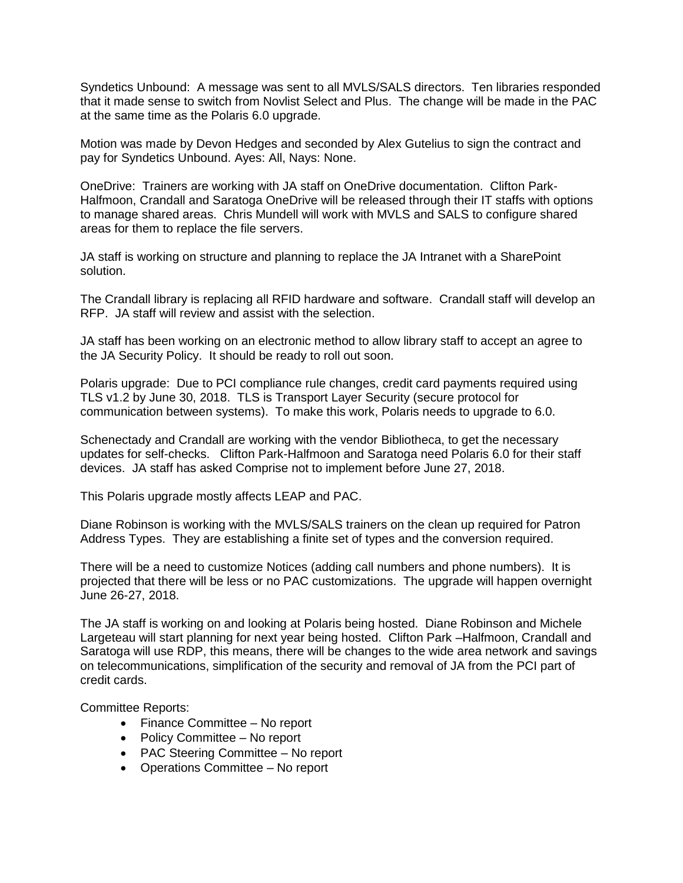Syndetics Unbound: A message was sent to all MVLS/SALS directors. Ten libraries responded that it made sense to switch from Novlist Select and Plus. The change will be made in the PAC at the same time as the Polaris 6.0 upgrade.

Motion was made by Devon Hedges and seconded by Alex Gutelius to sign the contract and pay for Syndetics Unbound. Ayes: All, Nays: None.

OneDrive: Trainers are working with JA staff on OneDrive documentation. Clifton Park-Halfmoon, Crandall and Saratoga OneDrive will be released through their IT staffs with options to manage shared areas. Chris Mundell will work with MVLS and SALS to configure shared areas for them to replace the file servers.

JA staff is working on structure and planning to replace the JA Intranet with a SharePoint solution.

The Crandall library is replacing all RFID hardware and software. Crandall staff will develop an RFP. JA staff will review and assist with the selection.

JA staff has been working on an electronic method to allow library staff to accept an agree to the JA Security Policy. It should be ready to roll out soon.

Polaris upgrade: Due to PCI compliance rule changes, credit card payments required using TLS v1.2 by June 30, 2018. TLS is Transport Layer Security (secure protocol for communication between systems). To make this work, Polaris needs to upgrade to 6.0.

Schenectady and Crandall are working with the vendor Bibliotheca, to get the necessary updates for self-checks. Clifton Park-Halfmoon and Saratoga need Polaris 6.0 for their staff devices. JA staff has asked Comprise not to implement before June 27, 2018.

This Polaris upgrade mostly affects LEAP and PAC.

Diane Robinson is working with the MVLS/SALS trainers on the clean up required for Patron Address Types. They are establishing a finite set of types and the conversion required.

There will be a need to customize Notices (adding call numbers and phone numbers). It is projected that there will be less or no PAC customizations. The upgrade will happen overnight June 26-27, 2018.

The JA staff is working on and looking at Polaris being hosted. Diane Robinson and Michele Largeteau will start planning for next year being hosted. Clifton Park –Halfmoon, Crandall and Saratoga will use RDP, this means, there will be changes to the wide area network and savings on telecommunications, simplification of the security and removal of JA from the PCI part of credit cards.

Committee Reports:

- Finance Committee No report
- Policy Committee No report
- PAC Steering Committee No report
- Operations Committee No report